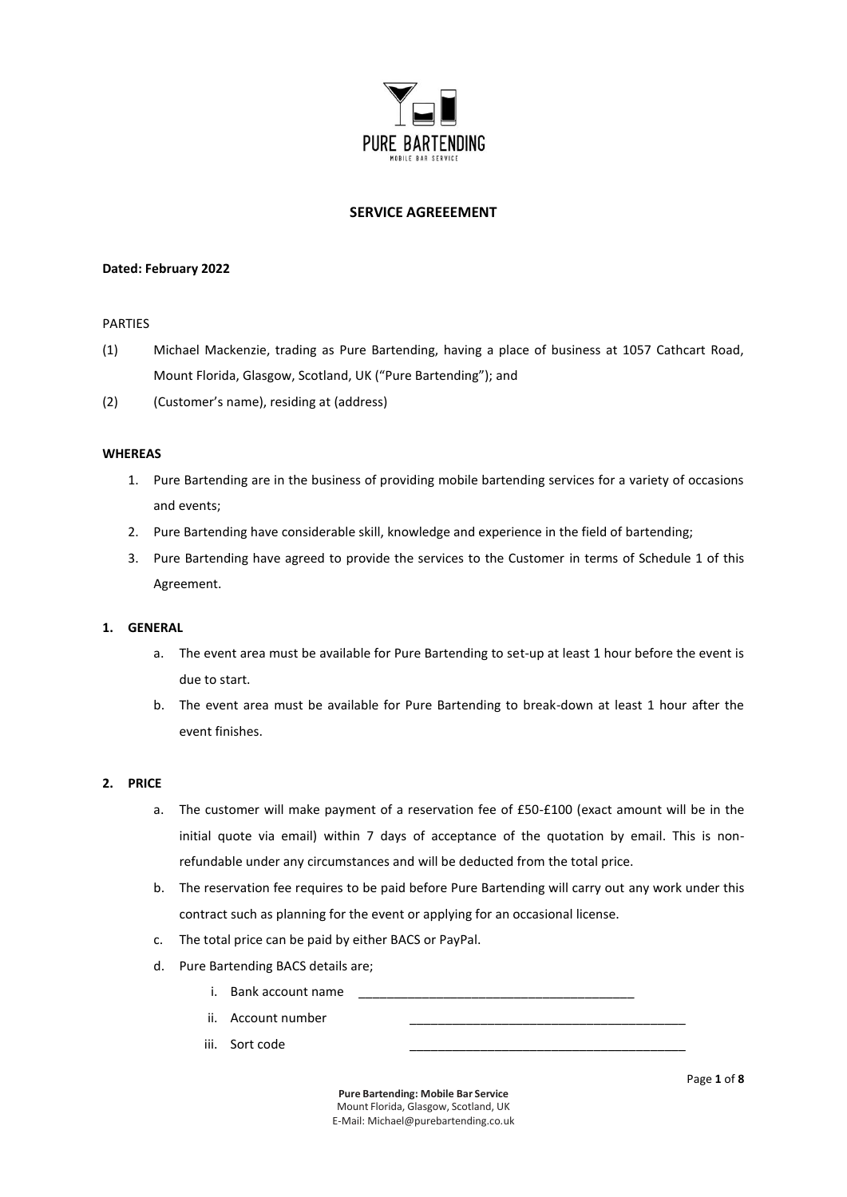

# **SERVICE AGREEEMENT**

#### **Dated: February 2022**

#### PARTIES

- (1) Michael Mackenzie, trading as Pure Bartending, having a place of business at 1057 Cathcart Road, Mount Florida, Glasgow, Scotland, UK ("Pure Bartending"); and
- (2) (Customer's name), residing at (address)

#### **WHEREAS**

- 1. Pure Bartending are in the business of providing mobile bartending services for a variety of occasions and events;
- 2. Pure Bartending have considerable skill, knowledge and experience in the field of bartending;
- 3. Pure Bartending have agreed to provide the services to the Customer in terms of Schedule 1 of this Agreement.

## **1. GENERAL**

- a. The event area must be available for Pure Bartending to set-up at least 1 hour before the event is due to start.
- b. The event area must be available for Pure Bartending to break-down at least 1 hour after the event finishes.

#### **2. PRICE**

- a. The customer will make payment of a reservation fee of £50-£100 (exact amount will be in the initial quote via email) within 7 days of acceptance of the quotation by email. This is nonrefundable under any circumstances and will be deducted from the total price.
- b. The reservation fee requires to be paid before Pure Bartending will carry out any work under this contract such as planning for the event or applying for an occasional license.
- c. The total price can be paid by either BACS or PayPal.
- d. Pure Bartending BACS details are;
	- i. Bank account name
	- ii. Account number
	- iii. Sort code

**Pure Bartending: Mobile Bar Service** Mount Florida, Glasgow, Scotland, UK E-Mail: [Michael@purebartending.co.uk](mailto:Michael@purebartending.co.uk) Page **1** of **8**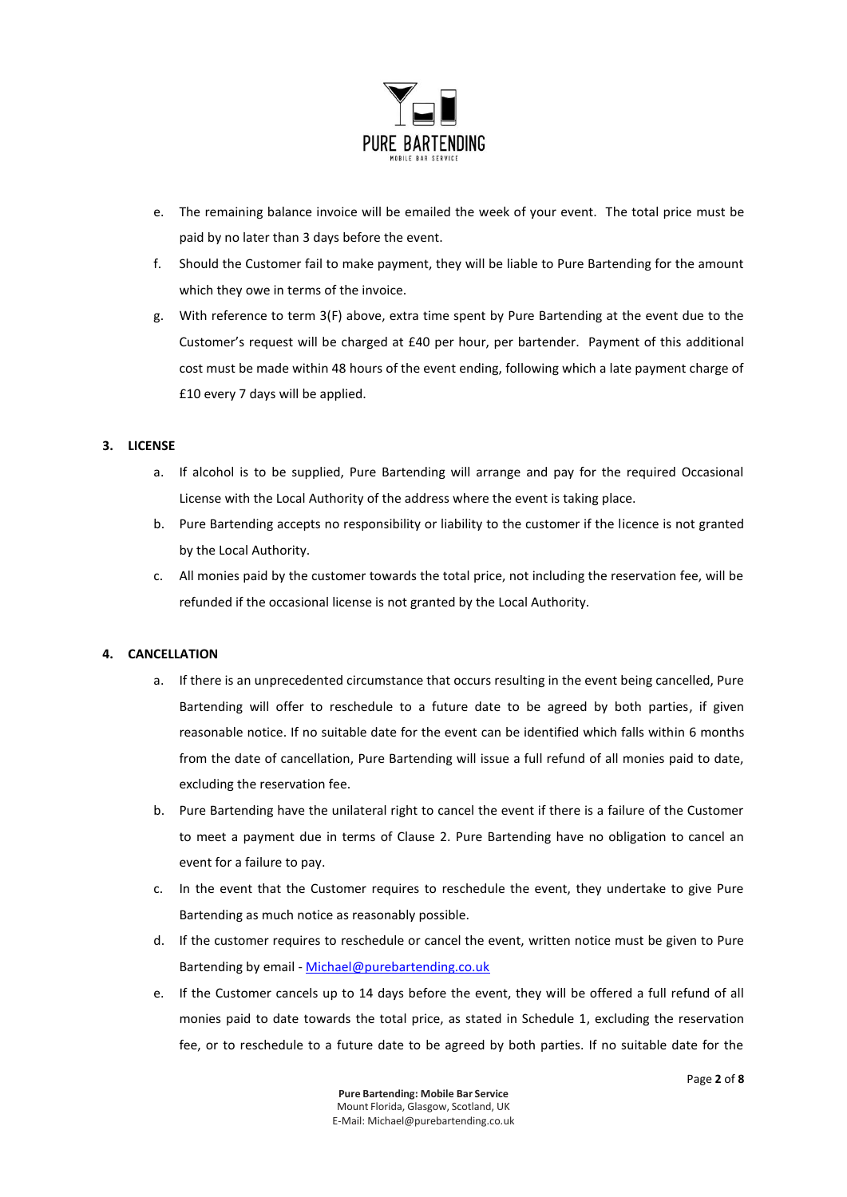

- e. The remaining balance invoice will be emailed the week of your event. The total price must be paid by no later than 3 days before the event.
- f. Should the Customer fail to make payment, they will be liable to Pure Bartending for the amount which they owe in terms of the invoice.
- g. With reference to term 3(F) above, extra time spent by Pure Bartending at the event due to the Customer's request will be charged at £40 per hour, per bartender. Payment of this additional cost must be made within 48 hours of the event ending, following which a late payment charge of £10 every 7 days will be applied.

## **3. LICENSE**

- a. If alcohol is to be supplied, Pure Bartending will arrange and pay for the required Occasional License with the Local Authority of the address where the event is taking place.
- b. Pure Bartending accepts no responsibility or liability to the customer if the licence is not granted by the Local Authority.
- c. All monies paid by the customer towards the total price, not including the reservation fee, will be refunded if the occasional license is not granted by the Local Authority.

## **4. CANCELLATION**

- a. If there is an unprecedented circumstance that occurs resulting in the event being cancelled, Pure Bartending will offer to reschedule to a future date to be agreed by both parties, if given reasonable notice. If no suitable date for the event can be identified which falls within 6 months from the date of cancellation, Pure Bartending will issue a full refund of all monies paid to date, excluding the reservation fee.
- b. Pure Bartending have the unilateral right to cancel the event if there is a failure of the Customer to meet a payment due in terms of Clause 2. Pure Bartending have no obligation to cancel an event for a failure to pay.
- c. In the event that the Customer requires to reschedule the event, they undertake to give Pure Bartending as much notice as reasonably possible.
- d. If the customer requires to reschedule or cancel the event, written notice must be given to Pure Bartending by email - [Michael@purebartending.co.uk](mailto:Michael@purebartending.co.uk)
- e. If the Customer cancels up to 14 days before the event, they will be offered a full refund of all monies paid to date towards the total price, as stated in Schedule 1, excluding the reservation fee, or to reschedule to a future date to be agreed by both parties. If no suitable date for the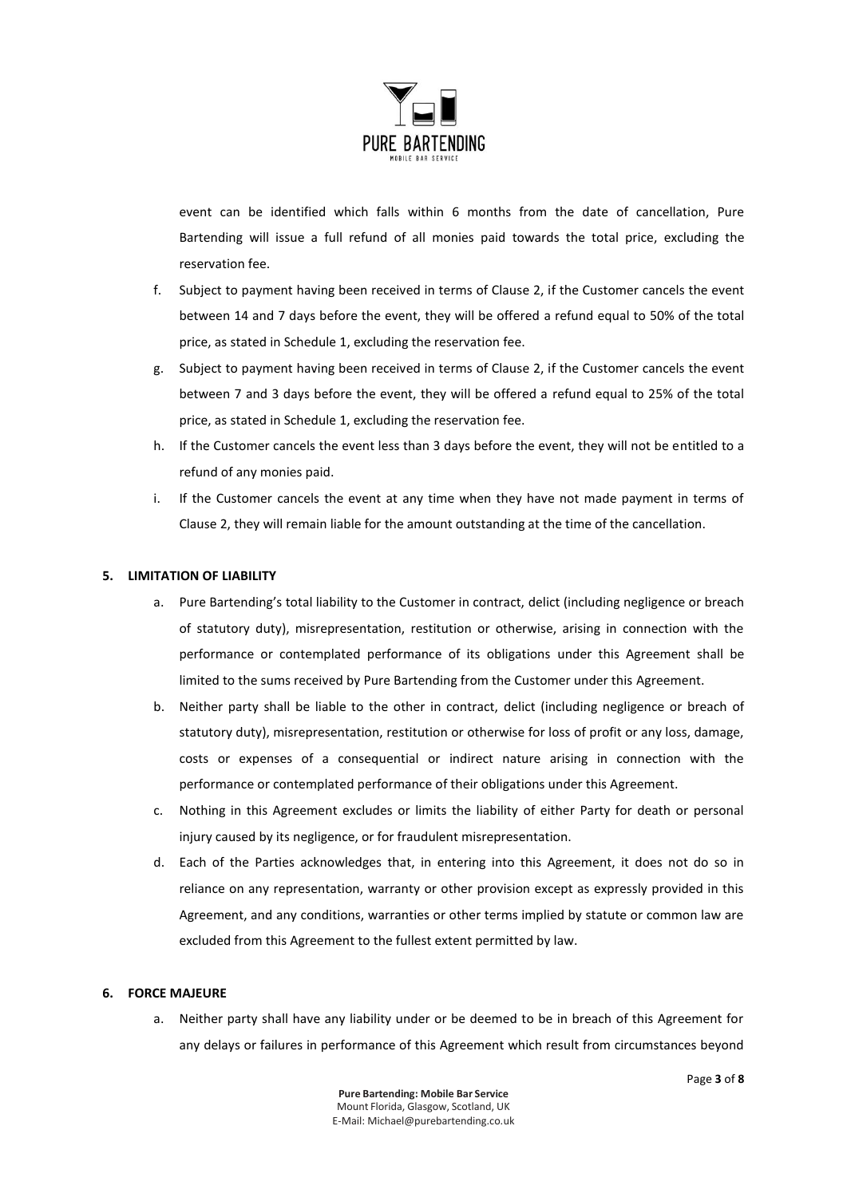

event can be identified which falls within 6 months from the date of cancellation, Pure Bartending will issue a full refund of all monies paid towards the total price, excluding the reservation fee.

- f. Subject to payment having been received in terms of Clause 2, if the Customer cancels the event between 14 and 7 days before the event, they will be offered a refund equal to 50% of the total price, as stated in Schedule 1, excluding the reservation fee.
- g. Subject to payment having been received in terms of Clause 2, if the Customer cancels the event between 7 and 3 days before the event, they will be offered a refund equal to 25% of the total price, as stated in Schedule 1, excluding the reservation fee.
- h. If the Customer cancels the event less than 3 days before the event, they will not be entitled to a refund of any monies paid.
- i. If the Customer cancels the event at any time when they have not made payment in terms of Clause 2, they will remain liable for the amount outstanding at the time of the cancellation.

## **5. LIMITATION OF LIABILITY**

- a. Pure Bartending's total liability to the Customer in contract, delict (including negligence or breach of statutory duty), misrepresentation, restitution or otherwise, arising in connection with the performance or contemplated performance of its obligations under this Agreement shall be limited to the sums received by Pure Bartending from the Customer under this Agreement.
- b. Neither party shall be liable to the other in contract, delict (including negligence or breach of statutory duty), misrepresentation, restitution or otherwise for loss of profit or any loss, damage, costs or expenses of a consequential or indirect nature arising in connection with the performance or contemplated performance of their obligations under this Agreement.
- c. Nothing in this Agreement excludes or limits the liability of either Party for death or personal injury caused by its negligence, or for fraudulent misrepresentation.
- d. Each of the Parties acknowledges that, in entering into this Agreement, it does not do so in reliance on any representation, warranty or other provision except as expressly provided in this Agreement, and any conditions, warranties or other terms implied by statute or common law are excluded from this Agreement to the fullest extent permitted by law.

## **6. FORCE MAJEURE**

a. Neither party shall have any liability under or be deemed to be in breach of this Agreement for any delays or failures in performance of this Agreement which result from circumstances beyond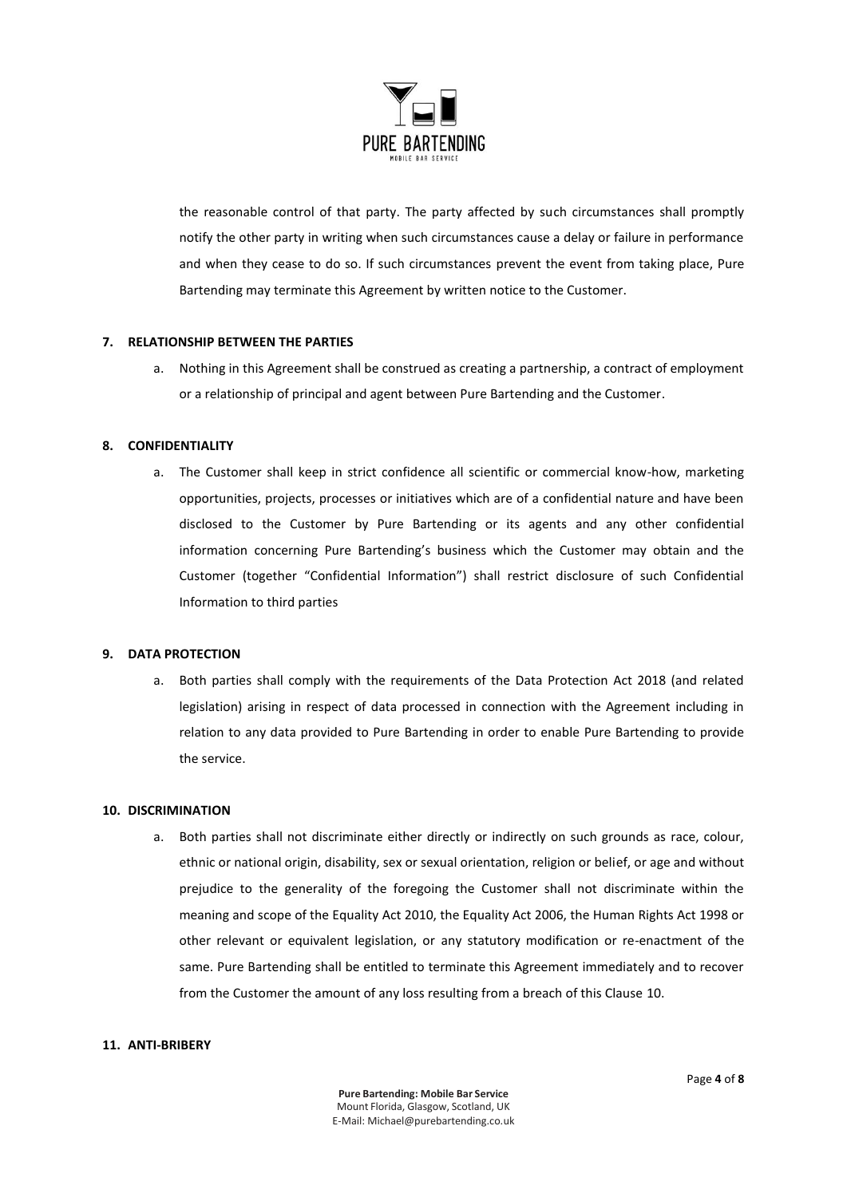

the reasonable control of that party. The party affected by such circumstances shall promptly notify the other party in writing when such circumstances cause a delay or failure in performance and when they cease to do so. If such circumstances prevent the event from taking place, Pure Bartending may terminate this Agreement by written notice to the Customer.

## **7. RELATIONSHIP BETWEEN THE PARTIES**

a. Nothing in this Agreement shall be construed as creating a partnership, a contract of employment or a relationship of principal and agent between Pure Bartending and the Customer.

## **8. CONFIDENTIALITY**

a. The Customer shall keep in strict confidence all scientific or commercial know-how, marketing opportunities, projects, processes or initiatives which are of a confidential nature and have been disclosed to the Customer by Pure Bartending or its agents and any other confidential information concerning Pure Bartending's business which the Customer may obtain and the Customer (together "Confidential Information") shall restrict disclosure of such Confidential Information to third parties

## **9. DATA PROTECTION**

a. Both parties shall comply with the requirements of the Data Protection Act 2018 (and related legislation) arising in respect of data processed in connection with the Agreement including in relation to any data provided to Pure Bartending in order to enable Pure Bartending to provide the service.

## **10. DISCRIMINATION**

a. Both parties shall not discriminate either directly or indirectly on such grounds as race, colour, ethnic or national origin, disability, sex or sexual orientation, religion or belief, or age and without prejudice to the generality of the foregoing the Customer shall not discriminate within the meaning and scope of the Equality Act 2010, the Equality Act 2006, the Human Rights Act 1998 or other relevant or equivalent legislation, or any statutory modification or re-enactment of the same. Pure Bartending shall be entitled to terminate this Agreement immediately and to recover from the Customer the amount of any loss resulting from a breach of this Clause 10.

## **11. ANTI-BRIBERY**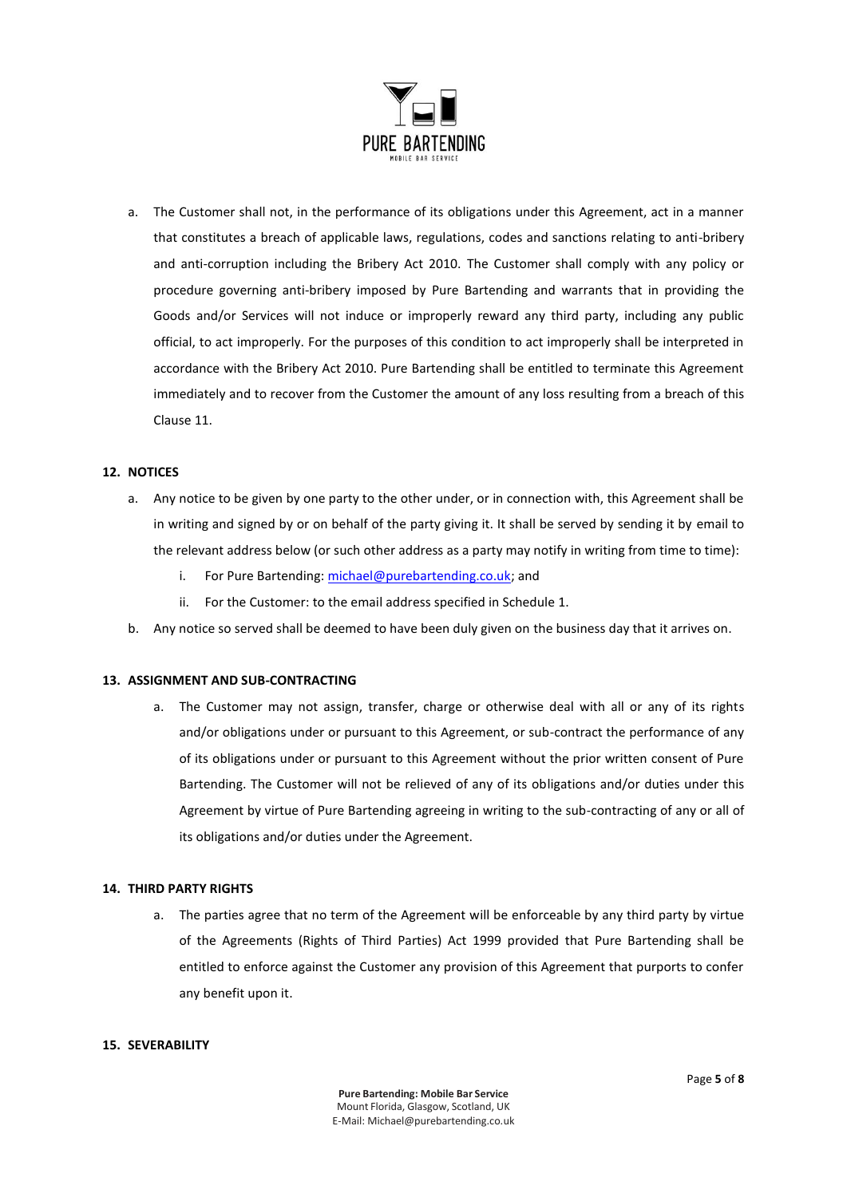

a. The Customer shall not, in the performance of its obligations under this Agreement, act in a manner that constitutes a breach of applicable laws, regulations, codes and sanctions relating to anti-bribery and anti-corruption including the Bribery Act 2010. The Customer shall comply with any policy or procedure governing anti-bribery imposed by Pure Bartending and warrants that in providing the Goods and/or Services will not induce or improperly reward any third party, including any public official, to act improperly. For the purposes of this condition to act improperly shall be interpreted in accordance with the Bribery Act 2010. Pure Bartending shall be entitled to terminate this Agreement immediately and to recover from the Customer the amount of any loss resulting from a breach of this Clause 11.

# **12. NOTICES**

- a. Any notice to be given by one party to the other under, or in connection with, this Agreement shall be in writing and signed by or on behalf of the party giving it. It shall be served by sending it by email to the relevant address below (or such other address as a party may notify in writing from time to time):
	- i. For Pure Bartending[: michael@purebartending.co.uk;](mailto:michael@purebartending.co.uk) and
	- ii. For the Customer: to the email address specified in Schedule 1.
- b. Any notice so served shall be deemed to have been duly given on the business day that it arrives on.

#### **13. ASSIGNMENT AND SUB-CONTRACTING**

a. The Customer may not assign, transfer, charge or otherwise deal with all or any of its rights and/or obligations under or pursuant to this Agreement, or sub-contract the performance of any of its obligations under or pursuant to this Agreement without the prior written consent of Pure Bartending. The Customer will not be relieved of any of its obligations and/or duties under this Agreement by virtue of Pure Bartending agreeing in writing to the sub-contracting of any or all of its obligations and/or duties under the Agreement.

#### **14. THIRD PARTY RIGHTS**

a. The parties agree that no term of the Agreement will be enforceable by any third party by virtue of the Agreements (Rights of Third Parties) Act 1999 provided that Pure Bartending shall be entitled to enforce against the Customer any provision of this Agreement that purports to confer any benefit upon it.

#### **15. SEVERABILITY**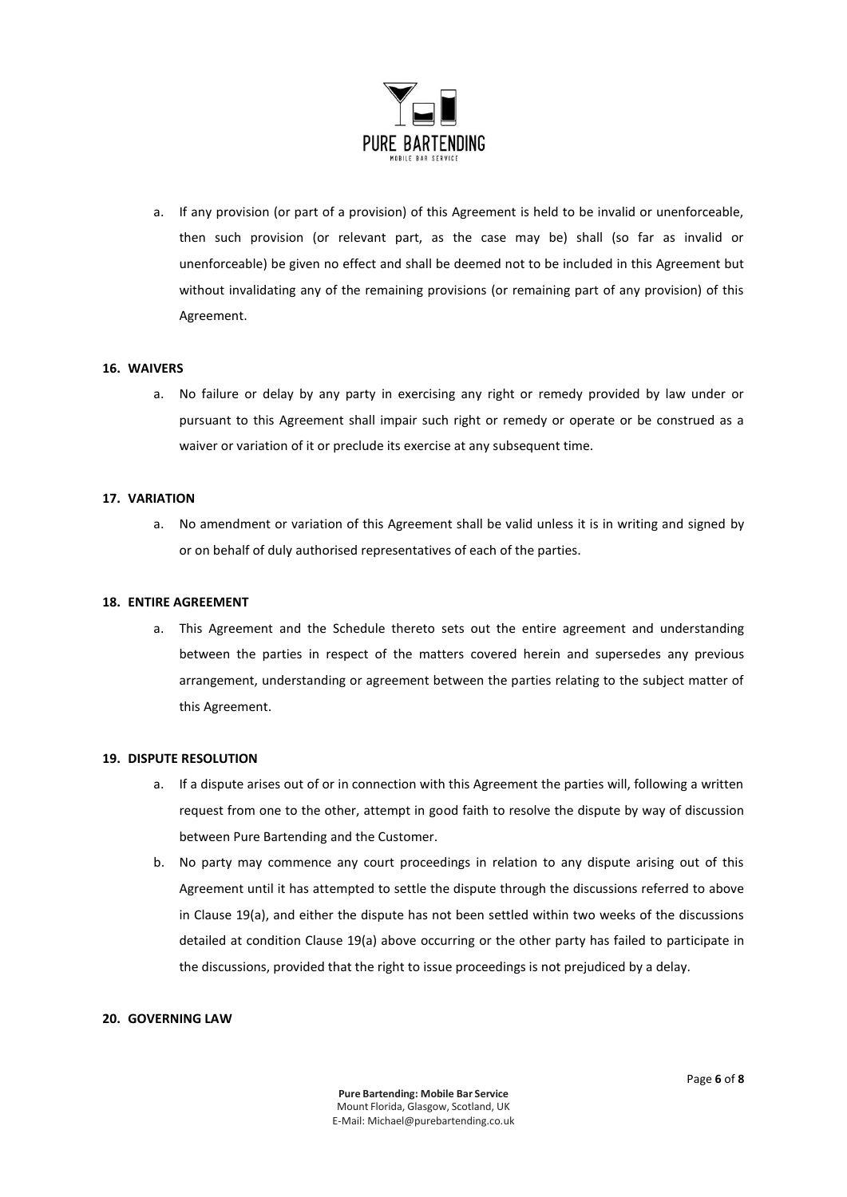

a. If any provision (or part of a provision) of this Agreement is held to be invalid or unenforceable, then such provision (or relevant part, as the case may be) shall (so far as invalid or unenforceable) be given no effect and shall be deemed not to be included in this Agreement but without invalidating any of the remaining provisions (or remaining part of any provision) of this Agreement.

#### **16. WAIVERS**

a. No failure or delay by any party in exercising any right or remedy provided by law under or pursuant to this Agreement shall impair such right or remedy or operate or be construed as a waiver or variation of it or preclude its exercise at any subsequent time.

#### **17. VARIATION**

a. No amendment or variation of this Agreement shall be valid unless it is in writing and signed by or on behalf of duly authorised representatives of each of the parties.

#### **18. ENTIRE AGREEMENT**

a. This Agreement and the Schedule thereto sets out the entire agreement and understanding between the parties in respect of the matters covered herein and supersedes any previous arrangement, understanding or agreement between the parties relating to the subject matter of this Agreement.

## **19. DISPUTE RESOLUTION**

- a. If a dispute arises out of or in connection with this Agreement the parties will, following a written request from one to the other, attempt in good faith to resolve the dispute by way of discussion between Pure Bartending and the Customer.
- b. No party may commence any court proceedings in relation to any dispute arising out of this Agreement until it has attempted to settle the dispute through the discussions referred to above in Clause 19(a), and either the dispute has not been settled within two weeks of the discussions detailed at condition Clause 19(a) above occurring or the other party has failed to participate in the discussions, provided that the right to issue proceedings is not prejudiced by a delay.

# **20. GOVERNING LAW**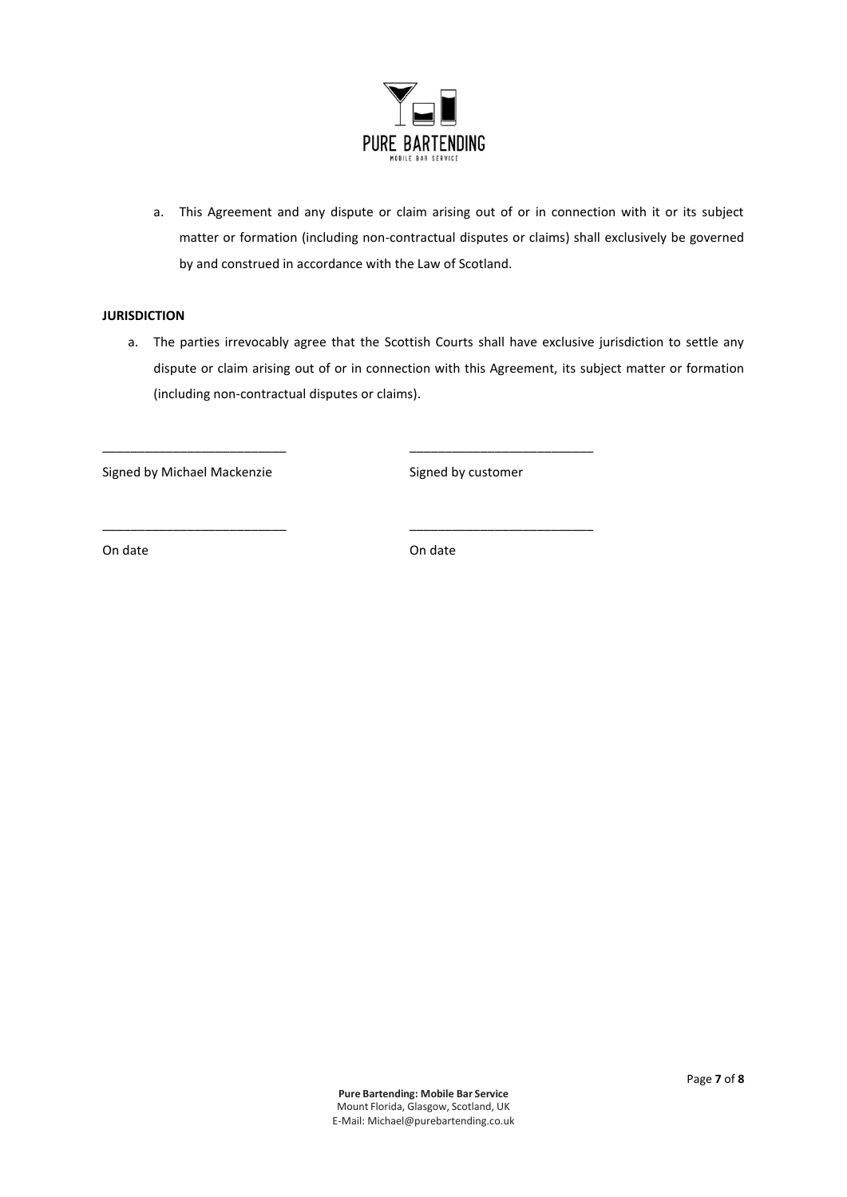

a. This Agreement and any dispute or claim arising out of or in connection with it or its subject matter or formation (including non-contractual disputes or claims) shall exclusively be governed by and construed in accordance with the Law of Scotland.

# **JURISDICTION**

a. The parties irrevocably agree that the Scottish Courts shall have exclusive jurisdiction to settle any dispute or claim arising out of or in connection with this Agreement, its subject matter or formation (including non-contractual disputes or claims).

Signed by Michael Mackenzie Signed by customer

On date On date of the Online of the Online of the Online of the Online of the Online of the Online of the Online of the Online of the Online of the Online of the Online of the Online of the Online of the Online of the Onl

\_\_\_\_\_\_\_\_\_\_\_\_\_\_\_\_\_\_\_\_\_\_\_\_\_\_ \_\_\_\_\_\_\_\_\_\_\_\_\_\_\_\_\_\_\_\_\_\_\_\_\_\_

\_\_\_\_\_\_\_\_\_\_\_\_\_\_\_\_\_\_\_\_\_\_\_\_\_\_ \_\_\_\_\_\_\_\_\_\_\_\_\_\_\_\_\_\_\_\_\_\_\_\_\_\_